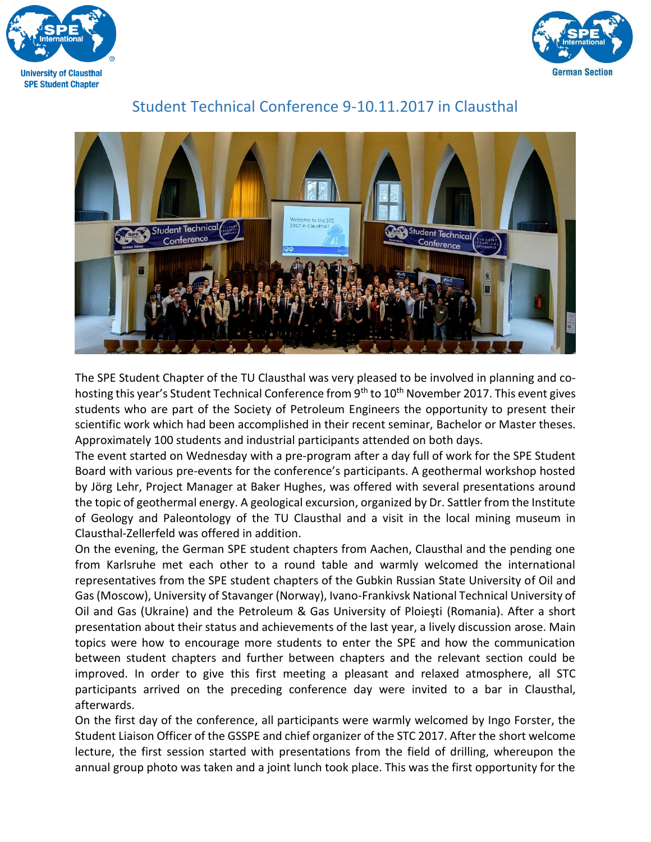



## Student Technical Conference 9-10.11.2017 in Clausthal



The SPE Student Chapter of the TU Clausthal was very pleased to be involved in planning and cohosting this year's Student Technical Conference from 9<sup>th</sup> to 10<sup>th</sup> November 2017. This event gives students who are part of the Society of Petroleum Engineers the opportunity to present their scientific work which had been accomplished in their recent seminar, Bachelor or Master theses. Approximately 100 students and industrial participants attended on both days.

The event started on Wednesday with a pre-program after a day full of work for the SPE Student Board with various pre-events for the conference's participants. A geothermal workshop hosted by Jörg Lehr, Project Manager at Baker Hughes, was offered with several presentations around the topic of geothermal energy. A geological excursion, organized by Dr. Sattler from the Institute of Geology and Paleontology of the TU Clausthal and a visit in the local mining museum in Clausthal-Zellerfeld was offered in addition.

On the evening, the German SPE student chapters from Aachen, Clausthal and the pending one from Karlsruhe met each other to a round table and warmly welcomed the international representatives from the SPE student chapters of the Gubkin Russian State University of Oil and Gas (Moscow), University of Stavanger (Norway), Ivano-Frankivsk National Technical University of Oil and Gas (Ukraine) and the Petroleum & Gas University of Ploieşti (Romania). After a short presentation about their status and achievements of the last year, a lively discussion arose. Main topics were how to encourage more students to enter the SPE and how the communication between student chapters and further between chapters and the relevant section could be improved. In order to give this first meeting a pleasant and relaxed atmosphere, all STC participants arrived on the preceding conference day were invited to a bar in Clausthal, afterwards.

On the first day of the conference, all participants were warmly welcomed by Ingo Forster, the Student Liaison Officer of the GSSPE and chief organizer of the STC 2017. After the short welcome lecture, the first session started with presentations from the field of drilling, whereupon the annual group photo was taken and a joint lunch took place. This was the first opportunity for the